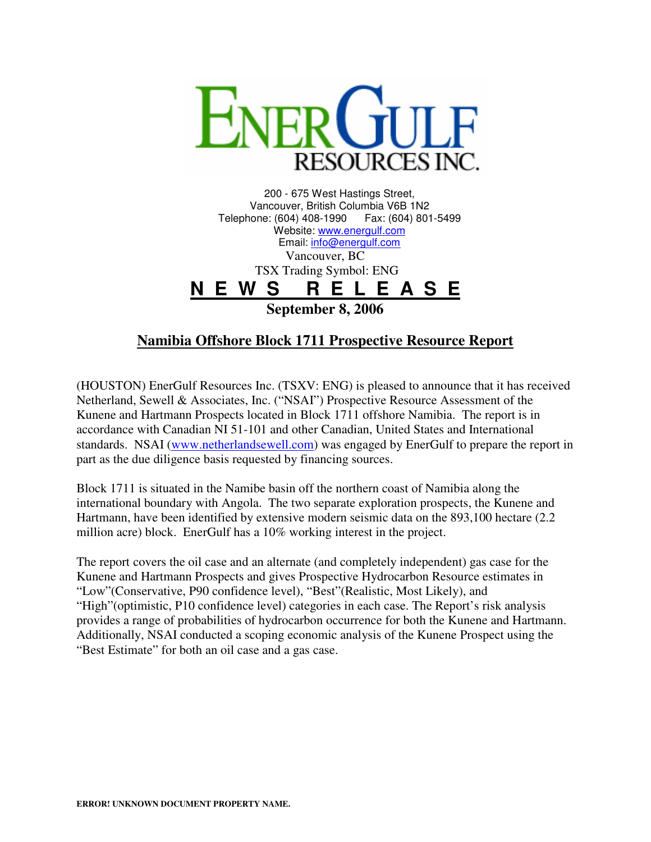

200 - 675 West Hastings Street, Vancouver, British Columbia V6B 1N2 Telephone: (604) 408-1990 Fax: (604) 801-5499 Website: www.energulf.com Email: info@energulf.com Vancouver, BC TSX Trading Symbol: ENG **N E W S R E L E A S E September 8, 2006** 

## **Namibia Offshore Block 1711 Prospective Resource Report**

(HOUSTON) EnerGulf Resources Inc. (TSXV: ENG) is pleased to announce that it has received Netherland, Sewell & Associates, Inc. ("NSAI") Prospective Resource Assessment of the Kunene and Hartmann Prospects located in Block 1711 offshore Namibia. The report is in accordance with Canadian NI 51-101 and other Canadian, United States and International standards. NSAI (www.netherlandsewell.com) was engaged by EnerGulf to prepare the report in part as the due diligence basis requested by financing sources.

Block 1711 is situated in the Namibe basin off the northern coast of Namibia along the international boundary with Angola. The two separate exploration prospects, the Kunene and Hartmann, have been identified by extensive modern seismic data on the 893,100 hectare (2.2 million acre) block. EnerGulf has a 10% working interest in the project.

The report covers the oil case and an alternate (and completely independent) gas case for the Kunene and Hartmann Prospects and gives Prospective Hydrocarbon Resource estimates in "Low"(Conservative, P90 confidence level), "Best"(Realistic, Most Likely), and "High"(optimistic, P10 confidence level) categories in each case. The Report's risk analysis provides a range of probabilities of hydrocarbon occurrence for both the Kunene and Hartmann. Additionally, NSAI conducted a scoping economic analysis of the Kunene Prospect using the "Best Estimate" for both an oil case and a gas case.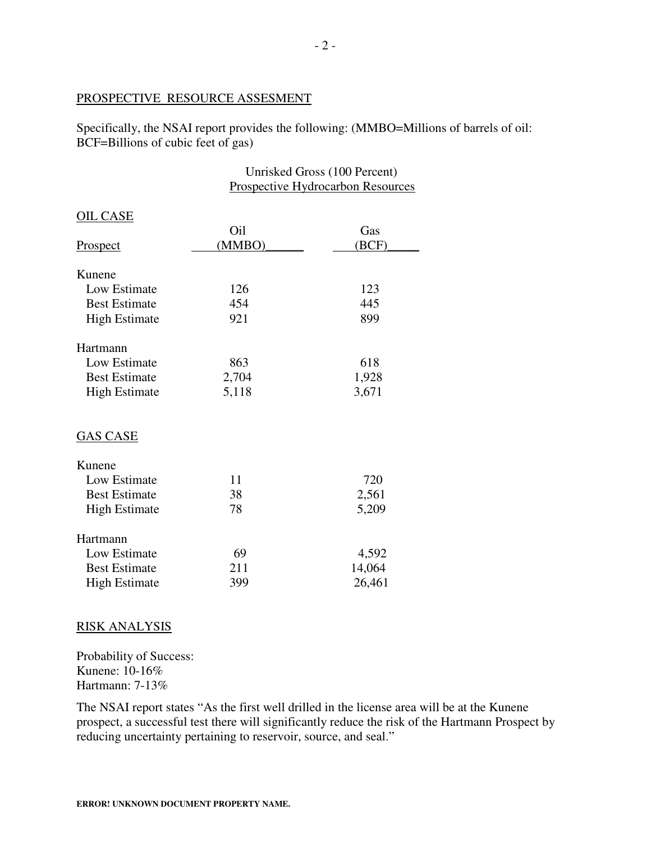## PROSPECTIVE RESOURCE ASSESMENT

Specifically, the NSAI report provides the following: (MMBO=Millions of barrels of oil: BCF=Billions of cubic feet of gas)

> Unrisked Gross (100 Percent) Prospective Hydrocarbon Resources

| <b>OIL CASE</b>      |        |        |
|----------------------|--------|--------|
|                      | Oil    | Gas    |
| <b>Prospect</b>      | (MMBO) | (BCF)  |
|                      |        |        |
| Kunene               |        |        |
| Low Estimate         | 126    | 123    |
| <b>Best Estimate</b> | 454    | 445    |
| <b>High Estimate</b> | 921    | 899    |
| Hartmann             |        |        |
| Low Estimate         | 863    | 618    |
| <b>Best Estimate</b> | 2,704  | 1,928  |
| <b>High Estimate</b> | 5,118  | 3,671  |
| <b>GAS CASE</b>      |        |        |
| Kunene               |        |        |
| Low Estimate         | 11     | 720    |
| <b>Best Estimate</b> | 38     | 2,561  |
| <b>High Estimate</b> | 78     | 5,209  |
| Hartmann             |        |        |
| Low Estimate         | 69     | 4,592  |
| <b>Best Estimate</b> | 211    | 14,064 |
| <b>High Estimate</b> | 399    | 26,461 |
|                      |        |        |

## RISK ANALYSIS

Probability of Success: Kunene: 10-16% Hartmann: 7-13%

The NSAI report states "As the first well drilled in the license area will be at the Kunene prospect, a successful test there will significantly reduce the risk of the Hartmann Prospect by reducing uncertainty pertaining to reservoir, source, and seal."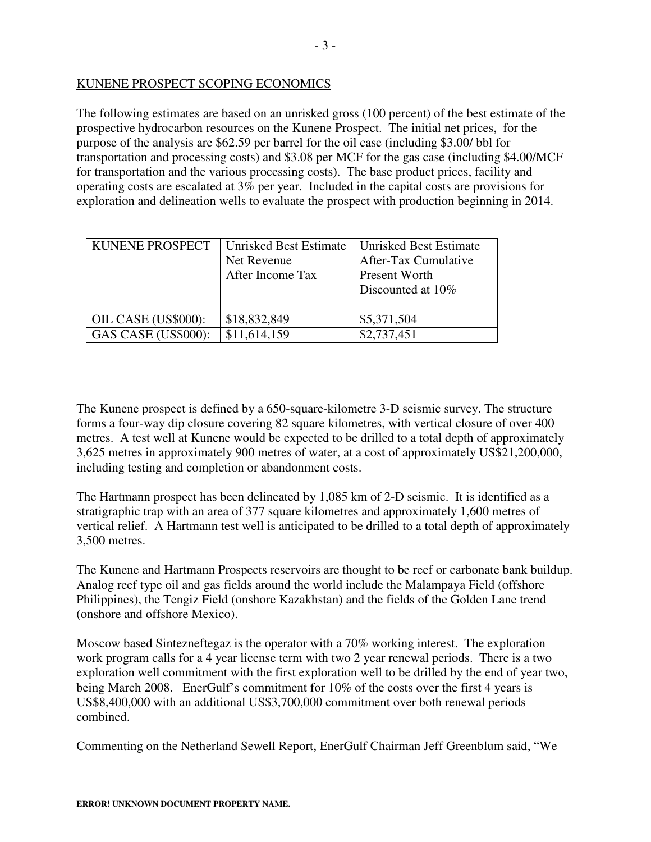## KUNENE PROSPECT SCOPING ECONOMICS

The following estimates are based on an unrisked gross (100 percent) of the best estimate of the prospective hydrocarbon resources on the Kunene Prospect. The initial net prices, for the purpose of the analysis are \$62.59 per barrel for the oil case (including \$3.00/ bbl for transportation and processing costs) and \$3.08 per MCF for the gas case (including \$4.00/MCF for transportation and the various processing costs). The base product prices, facility and operating costs are escalated at 3% per year. Included in the capital costs are provisions for exploration and delineation wells to evaluate the prospect with production beginning in 2014.

| KUNENE PROSPECT     | Unrisked Best Estimate<br>Net Revenue<br>After Income Tax | Unrisked Best Estimate<br>After-Tax Cumulative<br>Present Worth<br>Discounted at 10% |
|---------------------|-----------------------------------------------------------|--------------------------------------------------------------------------------------|
| OIL CASE (US\$000): | \$18,832,849                                              | \$5,371,504                                                                          |
| GAS CASE (US\$000): | \$11,614,159                                              | \$2,737,451                                                                          |

The Kunene prospect is defined by a 650-square-kilometre 3-D seismic survey. The structure forms a four-way dip closure covering 82 square kilometres, with vertical closure of over 400 metres. A test well at Kunene would be expected to be drilled to a total depth of approximately 3,625 metres in approximately 900 metres of water, at a cost of approximately US\$21,200,000, including testing and completion or abandonment costs.

The Hartmann prospect has been delineated by 1,085 km of 2-D seismic. It is identified as a stratigraphic trap with an area of 377 square kilometres and approximately 1,600 metres of vertical relief. A Hartmann test well is anticipated to be drilled to a total depth of approximately 3,500 metres.

The Kunene and Hartmann Prospects reservoirs are thought to be reef or carbonate bank buildup. Analog reef type oil and gas fields around the world include the Malampaya Field (offshore Philippines), the Tengiz Field (onshore Kazakhstan) and the fields of the Golden Lane trend (onshore and offshore Mexico).

Moscow based Sintezneftegaz is the operator with a 70% working interest. The exploration work program calls for a 4 year license term with two 2 year renewal periods. There is a two exploration well commitment with the first exploration well to be drilled by the end of year two, being March 2008. EnerGulf's commitment for 10% of the costs over the first 4 years is US\$8,400,000 with an additional US\$3,700,000 commitment over both renewal periods combined.

Commenting on the Netherland Sewell Report, EnerGulf Chairman Jeff Greenblum said, "We